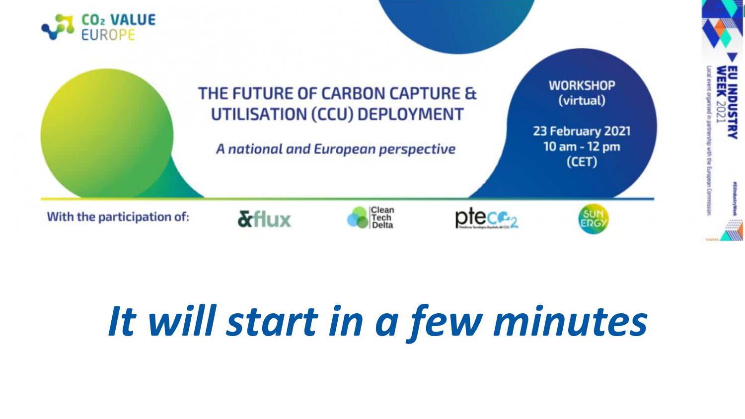

# *It will start in a few minutes*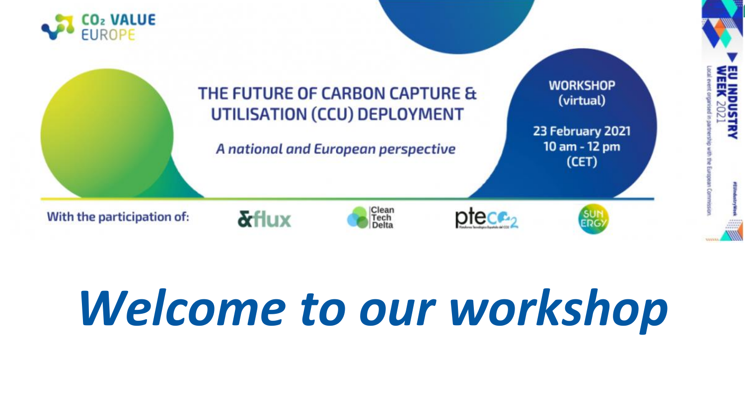![](_page_1_Picture_0.jpeg)

# *Welcome to our workshop*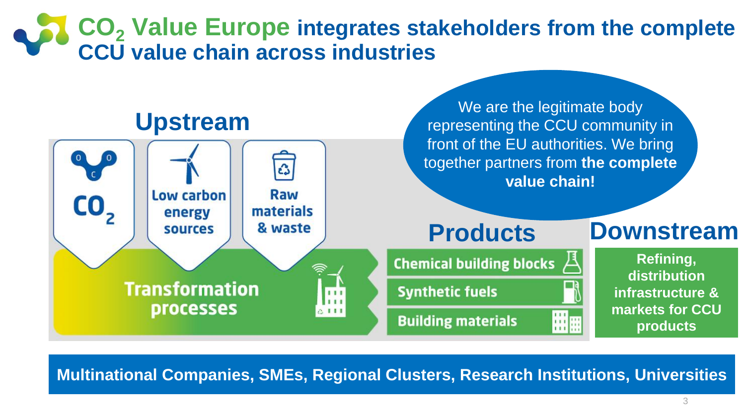### **CO<sup>2</sup> Value Europe integrates stakeholders from the complete CCU value chain across industries**

![](_page_2_Figure_1.jpeg)

**Multinational Companies, SMEs, Regional Clusters, Research Institutions, Universities**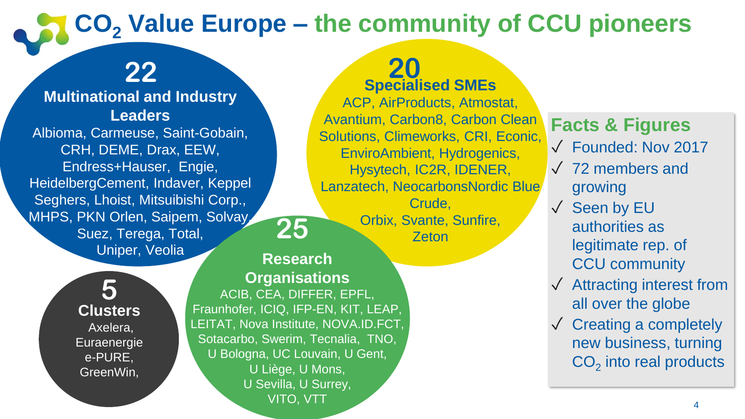## **CO<sup>2</sup> Value Europe – the community of CCU pioneers**

### **22**

#### **Multinational and Industry Leaders**

Albioma, Carmeuse, Saint-Gobain, CRH, DEME, Drax, EEW, Endress+Hauser, Engie, HeidelbergCement, Indaver, Keppel Seghers, Lhoist, Mitsuibishi Corp., MHPS, PKN Orlen, Saipem, Solvay, Suez, Terega, Total, Uniper, Veolia

> **5 Clusters** Axelera, **Euraenergie** e-PURE, GreenWin,

#### **20 Specialised SMEs**

ACP, AirProducts, Atmostat, Avantium, Carbon8, Carbon Clean Solutions, Climeworks, CRI, Econic, EnviroAmbient, Hydrogenics, Hysytech, IC2R, IDENER, Lanzatech, NeocarbonsNordic Blue Crude,

> Orbix, Svante, Sunfire, Zeton

#### **Research Organisations**

**25**

ACIB, CEA, DIFFER, EPFL, Fraunhofer, ICIQ, IFP-EN, KIT, LEAP, LEITAT, Nova Institute, NOVA.ID.FCT, Sotacarbo, Swerim, Tecnalia, TNO, U Bologna, UC Louvain, U Gent, U Liège, U Mons, U Sevilla, U Surrey, VITO, VTT

#### **Facts & Figures**

- ✓ Founded: Nov 2017
- ✓ 72 members and growing
- ✓ Seen by EU authorities as legitimate rep. of CCU community
- ✓ Attracting interest from all over the globe
- $\sqrt{\phantom{a}}$  Creating a completely new business, turning  $CO<sub>2</sub>$  into real products